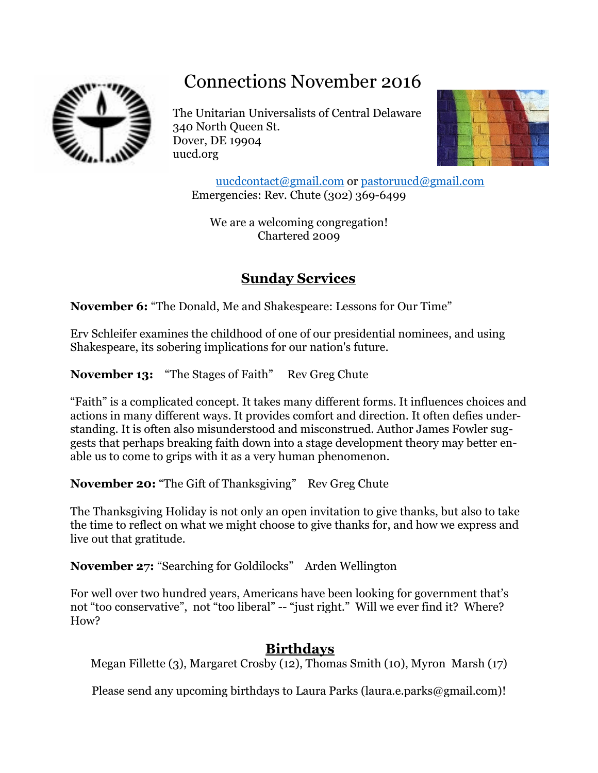# Connections November 2016



The Unitarian Universalists of Central Delaware 340 North Queen St. Dover, DE 19904 uucd.org



[uucdcontact@gmail.com](mailto:uucdcontact@gmail.com) or [pastoruucd@gmail.com](mailto:pastoruucd@gmail.com) Emergencies: Rev. Chute (302) 369-6499

We are a welcoming congregation! Chartered 2009

## **Sunday Services**

**November 6:** "The Donald, Me and Shakespeare: Lessons for Our Time"

Erv Schleifer examines the childhood of one of our presidential nominees, and using Shakespeare, its sobering implications for our nation's future.

**November 13:** "The Stages of Faith" Rev Greg Chute

"Faith" is a complicated concept. It takes many different forms. It influences choices and actions in many different ways. It provides comfort and direction. It often defies understanding. It is often also misunderstood and misconstrued. Author James Fowler suggests that perhaps breaking faith down into a stage development theory may better enable us to come to grips with it as a very human phenomenon.

**November 20:** "The Gift of Thanksgiving" Rev Greg Chute

The Thanksgiving Holiday is not only an open invitation to give thanks, but also to take the time to reflect on what we might choose to give thanks for, and how we express and live out that gratitude.

**November 27:** "Searching for Goldilocks" Arden Wellington

For well over two hundred years, Americans have been looking for government that's not "too conservative", not "too liberal" -- "just right." Will we ever find it? Where? How?

### **Birthdays**

Megan Fillette (3), Margaret Crosby (12), Thomas Smith (10), Myron Marsh (17)

Please send any upcoming birthdays to Laura Parks [\(laura.e.parks@gmail.com\)](mailto:laura.e.parks@gmail.com)!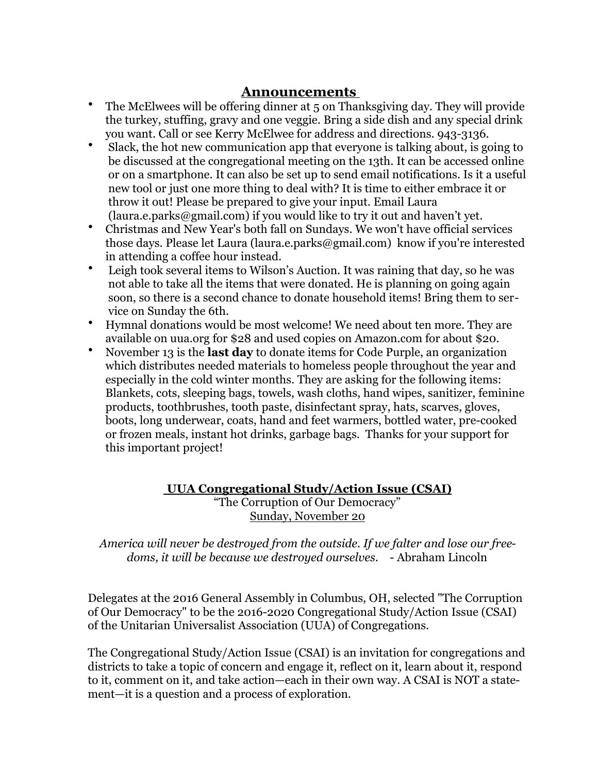#### **Announcements**

- The McElwees will be offering dinner at 5 on Thanksgiving day. They will provide the turkey, stuffing, gravy and one veggie. Bring a side dish and any special drink you want. Call or see Kerry McElwee for address and directions. 943-3136.
- Slack, the hot new communication app that everyone is talking about, is going to be discussed at the congregational meeting on the 13th. It can be accessed online or on a smartphone. It can also be set up to send email notifications. Is it a useful new tool or just one more thing to deal with? It is time to either embrace it or throw it out! Please be prepared to give your input. Email Laura  $(1)$  aura.e.parks  $\omega$  gmail.com) if you would like to try it out and haven't yet.
- Christmas and New Year's both fall on Sundays. We won't have official services those days. Please let Laura (laura.e.parks@gmail.com) know if you're interested in attending a coffee hour instead.
- Leigh took several items to Wilson's Auction. It was raining that day, so he was not able to take all the items that were donated. He is planning on going again soon, so there is a second chance to donate household items! Bring them to service on Sunday the 6th.
- Hymnal donations would be most welcome! We need about ten more. They are available on uua.org for \$28 and used copies on Amazon.com for about \$20.
- November 13 is the **last day** to donate items for Code Purple, an organization which distributes needed materials to homeless people throughout the year and especially in the cold winter months. They are asking for the following items: Blankets, cots, sleeping bags, towels, wash cloths, hand wipes, sanitizer, feminine products, toothbrushes, tooth paste, disinfectant spray, hats, scarves, gloves, boots, long underwear, coats, hand and feet warmers, bottled water, pre-cooked or frozen meals, instant hot drinks, garbage bags. Thanks for your support for this important project!

#### **UUA Congregational Study/Action Issue (CSAI)** "The Corruption of Our Democracy" Sunday, November 20

*America will never be destroyed from the outside. If we falter and lose our freedoms, it will be because we destroyed ourselves*. - Abraham Lincoln

Delegates at the 2016 General Assembly in Columbus, OH, selected "The Corruption of Our Democracy" to be the 2016-2020 Congregational Study/Action Issue (CSAI) of the Unitarian Universalist Association (UUA) of Congregations.

The Congregational Study/Action Issue (CSAI) is an invitation for congregations and districts to take a topic of concern and engage it, reflect on it, learn about it, respond to it, comment on it, and take action—each in their own way. A CSAI is NOT a statement—it is a question and a process of exploration.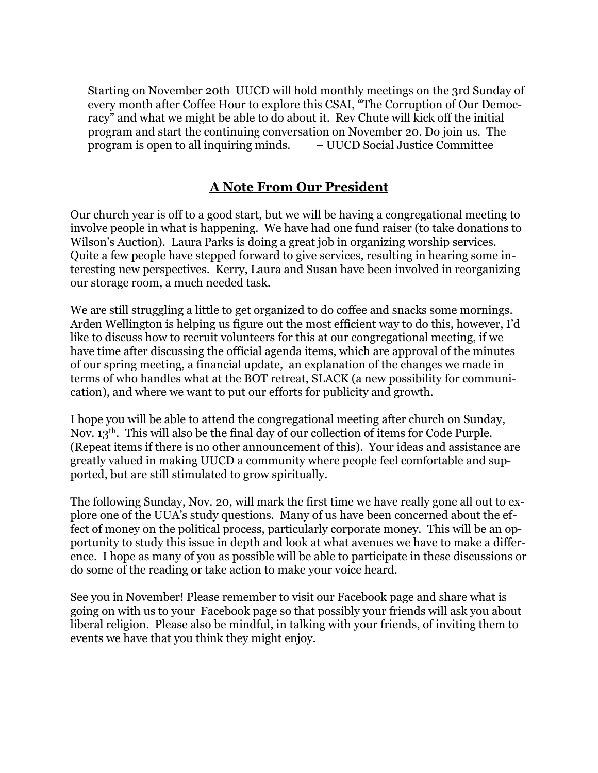Starting on November 20th UUCD will hold monthly meetings on the 3rd Sunday of every month after Coffee Hour to explore this CSAI, "The Corruption of Our Democracy" and what we might be able to do about it. Rev Chute will kick off the initial program and start the continuing conversation on November 20. Do join us. The program is open to all inquiring minds. – UUCD Social Justice Committee

#### **A Note From Our President**

Our church year is off to a good start, but we will be having a congregational meeting to involve people in what is happening. We have had one fund raiser (to take donations to Wilson's Auction). Laura Parks is doing a great job in organizing worship services. Quite a few people have stepped forward to give services, resulting in hearing some interesting new perspectives. Kerry, Laura and Susan have been involved in reorganizing our storage room, a much needed task.

We are still struggling a little to get organized to do coffee and snacks some mornings. Arden Wellington is helping us figure out the most efficient way to do this, however, I'd like to discuss how to recruit volunteers for this at our congregational meeting, if we have time after discussing the official agenda items, which are approval of the minutes of our spring meeting, a financial update, an explanation of the changes we made in terms of who handles what at the BOT retreat, SLACK (a new possibility for communication), and where we want to put our efforts for publicity and growth.

I hope you will be able to attend the congregational meeting after church on Sunday, Nov. 13<sup>th</sup>. This will also be the final day of our collection of items for Code Purple. (Repeat items if there is no other announcement of this). Your ideas and assistance are greatly valued in making UUCD a community where people feel comfortable and supported, but are still stimulated to grow spiritually.

The following Sunday, Nov. 20, will mark the first time we have really gone all out to explore one of the UUA's study questions. Many of us have been concerned about the effect of money on the political process, particularly corporate money. This will be an opportunity to study this issue in depth and look at what avenues we have to make a difference. I hope as many of you as possible will be able to participate in these discussions or do some of the reading or take action to make your voice heard.

See you in November! Please remember to visit our Facebook page and share what is going on with us to your Facebook page so that possibly your friends will ask you about liberal religion. Please also be mindful, in talking with your friends, of inviting them to events we have that you think they might enjoy.